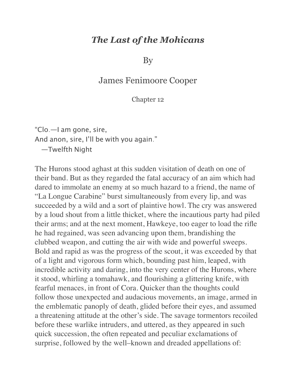## *The Last of the Mohicans*

By

## James Fenimoore Cooper

## Chapter 12

"Clo.—I am gone, sire, And anon, sire, I'll be with you again." —Twelfth Night

The Hurons stood aghast at this sudden visitation of death on one of their band. But as they regarded the fatal accuracy of an aim which had dared to immolate an enemy at so much hazard to a friend, the name of "La Longue Carabine" burst simultaneously from every lip, and was succeeded by a wild and a sort of plaintive howl. The cry was answered by a loud shout from a little thicket, where the incautious party had piled their arms; and at the next moment, Hawkeye, too eager to load the rifle he had regained, was seen advancing upon them, brandishing the clubbed weapon, and cutting the air with wide and powerful sweeps. Bold and rapid as was the progress of the scout, it was exceeded by that of a light and vigorous form which, bounding past him, leaped, with incredible activity and daring, into the very center of the Hurons, where it stood, whirling a tomahawk, and flourishing a glittering knife, with fearful menaces, in front of Cora. Quicker than the thoughts could follow those unexpected and audacious movements, an image, armed in the emblematic panoply of death, glided before their eyes, and assumed a threatening attitude at the other's side. The savage tormentors recoiled before these warlike intruders, and uttered, as they appeared in such quick succession, the often repeated and peculiar exclamations of surprise, followed by the well–known and dreaded appellations of: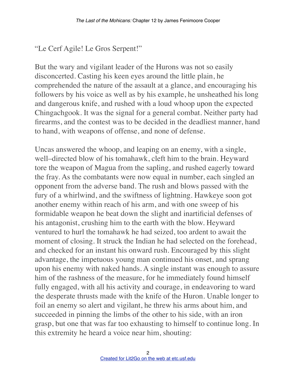## "Le Cerf Agile! Le Gros Serpent!"

But the wary and vigilant leader of the Hurons was not so easily disconcerted. Casting his keen eyes around the little plain, he comprehended the nature of the assault at a glance, and encouraging his followers by his voice as well as by his example, he unsheathed his long and dangerous knife, and rushed with a loud whoop upon the expected Chingachgook. It was the signal for a general combat. Neither party had firearms, and the contest was to be decided in the deadliest manner, hand to hand, with weapons of offense, and none of defense.

Uncas answered the whoop, and leaping on an enemy, with a single, well–directed blow of his tomahawk, cleft him to the brain. Heyward tore the weapon of Magua from the sapling, and rushed eagerly toward the fray. As the combatants were now equal in number, each singled an opponent from the adverse band. The rush and blows passed with the fury of a whirlwind, and the swiftness of lightning. Hawkeye soon got another enemy within reach of his arm, and with one sweep of his formidable weapon he beat down the slight and inartificial defenses of his antagonist, crushing him to the earth with the blow. Heyward ventured to hurl the tomahawk he had seized, too ardent to await the moment of closing. It struck the Indian he had selected on the forehead, and checked for an instant his onward rush. Encouraged by this slight advantage, the impetuous young man continued his onset, and sprang upon his enemy with naked hands. A single instant was enough to assure him of the rashness of the measure, for he immediately found himself fully engaged, with all his activity and courage, in endeavoring to ward the desperate thrusts made with the knife of the Huron. Unable longer to foil an enemy so alert and vigilant, he threw his arms about him, and succeeded in pinning the limbs of the other to his side, with an iron grasp, but one that was far too exhausting to himself to continue long. In this extremity he heard a voice near him, shouting: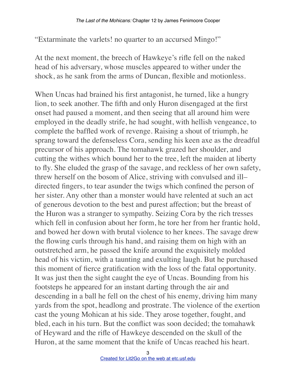"Extarminate the varlets! no quarter to an accursed Mingo!"

At the next moment, the breech of Hawkeye's rifle fell on the naked head of his adversary, whose muscles appeared to wither under the shock, as he sank from the arms of Duncan, flexible and motionless.

When Uncas had brained his first antagonist, he turned, like a hungry lion, to seek another. The fifth and only Huron disengaged at the first onset had paused a moment, and then seeing that all around him were employed in the deadly strife, he had sought, with hellish vengeance, to complete the baffled work of revenge. Raising a shout of triumph, he sprang toward the defenseless Cora, sending his keen axe as the dreadful precursor of his approach. The tomahawk grazed her shoulder, and cutting the withes which bound her to the tree, left the maiden at liberty to fly. She eluded the grasp of the savage, and reckless of her own safety, threw herself on the bosom of Alice, striving with convulsed and ill– directed fingers, to tear asunder the twigs which confined the person of her sister. Any other than a monster would have relented at such an act of generous devotion to the best and purest affection; but the breast of the Huron was a stranger to sympathy. Seizing Cora by the rich tresses which fell in confusion about her form, he tore her from her frantic hold, and bowed her down with brutal violence to her knees. The savage drew the flowing curls through his hand, and raising them on high with an outstretched arm, he passed the knife around the exquisitely molded head of his victim, with a taunting and exulting laugh. But he purchased this moment of fierce gratification with the loss of the fatal opportunity. It was just then the sight caught the eye of Uncas. Bounding from his footsteps he appeared for an instant darting through the air and descending in a ball he fell on the chest of his enemy, driving him many yards from the spot, headlong and prostrate. The violence of the exertion cast the young Mohican at his side. They arose together, fought, and bled, each in his turn. But the conflict was soon decided; the tomahawk of Heyward and the rifle of Hawkeye descended on the skull of the Huron, at the same moment that the knife of Uncas reached his heart.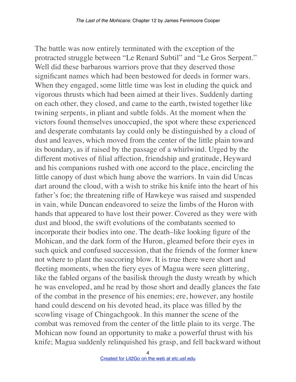The battle was now entirely terminated with the exception of the protracted struggle between "Le Renard Subtil" and "Le Gros Serpent." Well did these barbarous warriors prove that they deserved those significant names which had been bestowed for deeds in former wars. When they engaged, some little time was lost in eluding the quick and vigorous thrusts which had been aimed at their lives. Suddenly darting on each other, they closed, and came to the earth, twisted together like twining serpents, in pliant and subtle folds. At the moment when the victors found themselves unoccupied, the spot where these experienced and desperate combatants lay could only be distinguished by a cloud of dust and leaves, which moved from the center of the little plain toward its boundary, as if raised by the passage of a whirlwind. Urged by the different motives of filial affection, friendship and gratitude, Heyward and his companions rushed with one accord to the place, encircling the little canopy of dust which hung above the warriors. In vain did Uncas dart around the cloud, with a wish to strike his knife into the heart of his father's foe; the threatening rifle of Hawkeye was raised and suspended in vain, while Duncan endeavored to seize the limbs of the Huron with hands that appeared to have lost their power. Covered as they were with dust and blood, the swift evolutions of the combatants seemed to incorporate their bodies into one. The death–like looking figure of the Mohican, and the dark form of the Huron, gleamed before their eyes in such quick and confused succession, that the friends of the former knew not where to plant the succoring blow. It is true there were short and fleeting moments, when the fiery eyes of Magua were seen glittering, like the fabled organs of the basilisk through the dusty wreath by which he was enveloped, and he read by those short and deadly glances the fate of the combat in the presence of his enemies; ere, however, any hostile hand could descend on his devoted head, its place was filled by the scowling visage of Chingachgook. In this manner the scene of the combat was removed from the center of the little plain to its verge. The Mohican now found an opportunity to make a powerful thrust with his knife; Magua suddenly relinquished his grasp, and fell backward without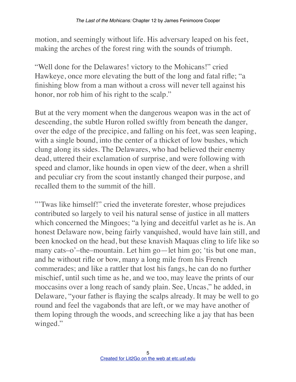motion, and seemingly without life. His adversary leaped on his feet, making the arches of the forest ring with the sounds of triumph.

"Well done for the Delawares! victory to the Mohicans!" cried Hawkeye, once more elevating the butt of the long and fatal rifle; "a finishing blow from a man without a cross will never tell against his honor, nor rob him of his right to the scalp."

But at the very moment when the dangerous weapon was in the act of descending, the subtle Huron rolled swiftly from beneath the danger, over the edge of the precipice, and falling on his feet, was seen leaping, with a single bound, into the center of a thicket of low bushes, which clung along its sides. The Delawares, who had believed their enemy dead, uttered their exclamation of surprise, and were following with speed and clamor, like hounds in open view of the deer, when a shrill and peculiar cry from the scout instantly changed their purpose, and recalled them to the summit of the hill.

"'Twas like himself!" cried the inveterate forester, whose prejudices contributed so largely to veil his natural sense of justice in all matters which concerned the Mingoes; "a lying and deceitful varlet as he is. An honest Delaware now, being fairly vanquished, would have lain still, and been knocked on the head, but these knavish Maquas cling to life like so many cats–o'–the–mountain. Let him go—let him go; 'tis but one man, and he without rifle or bow, many a long mile from his French commerades; and like a rattler that lost his fangs, he can do no further mischief, until such time as he, and we too, may leave the prints of our moccasins over a long reach of sandy plain. See, Uncas," he added, in Delaware, "your father is flaying the scalps already. It may be well to go round and feel the vagabonds that are left, or we may have another of them loping through the woods, and screeching like a jay that has been winged."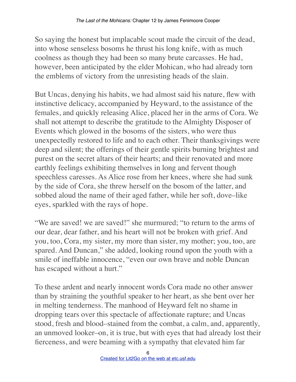So saying the honest but implacable scout made the circuit of the dead, into whose senseless bosoms he thrust his long knife, with as much coolness as though they had been so many brute carcasses. He had, however, been anticipated by the elder Mohican, who had already torn the emblems of victory from the unresisting heads of the slain.

But Uncas, denying his habits, we had almost said his nature, flew with instinctive delicacy, accompanied by Heyward, to the assistance of the females, and quickly releasing Alice, placed her in the arms of Cora. We shall not attempt to describe the gratitude to the Almighty Disposer of Events which glowed in the bosoms of the sisters, who were thus unexpectedly restored to life and to each other. Their thanksgivings were deep and silent; the offerings of their gentle spirits burning brightest and purest on the secret altars of their hearts; and their renovated and more earthly feelings exhibiting themselves in long and fervent though speechless caresses. As Alice rose from her knees, where she had sunk by the side of Cora, she threw herself on the bosom of the latter, and sobbed aloud the name of their aged father, while her soft, dove–like eyes, sparkled with the rays of hope.

"We are saved! we are saved!" she murmured; "to return to the arms of our dear, dear father, and his heart will not be broken with grief. And you, too, Cora, my sister, my more than sister, my mother; you, too, are spared. And Duncan," she added, looking round upon the youth with a smile of ineffable innocence, "even our own brave and noble Duncan has escaped without a hurt."

To these ardent and nearly innocent words Cora made no other answer than by straining the youthful speaker to her heart, as she bent over her in melting tenderness. The manhood of Heyward felt no shame in dropping tears over this spectacle of affectionate rapture; and Uncas stood, fresh and blood–stained from the combat, a calm, and, apparently, an unmoved looker–on, it is true, but with eyes that had already lost their fierceness, and were beaming with a sympathy that elevated him far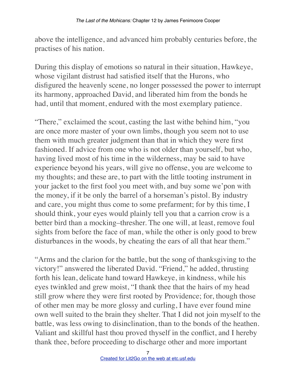above the intelligence, and advanced him probably centuries before, the practises of his nation.

During this display of emotions so natural in their situation, Hawkeye, whose vigilant distrust had satisfied itself that the Hurons, who disfigured the heavenly scene, no longer possessed the power to interrupt its harmony, approached David, and liberated him from the bonds he had, until that moment, endured with the most exemplary patience.

"There," exclaimed the scout, casting the last withe behind him, "you are once more master of your own limbs, though you seem not to use them with much greater judgment than that in which they were first fashioned. If advice from one who is not older than yourself, but who, having lived most of his time in the wilderness, may be said to have experience beyond his years, will give no offense, you are welcome to my thoughts; and these are, to part with the little tooting instrument in your jacket to the first fool you meet with, and buy some we'pon with the money, if it be only the barrel of a horseman's pistol. By industry and care, you might thus come to some prefarment; for by this time, I should think, your eyes would plainly tell you that a carrion crow is a better bird than a mocking–thresher. The one will, at least, remove foul sights from before the face of man, while the other is only good to brew disturbances in the woods, by cheating the ears of all that hear them."

"Arms and the clarion for the battle, but the song of thanksgiving to the victory!" answered the liberated David. "Friend," he added, thrusting forth his lean, delicate hand toward Hawkeye, in kindness, while his eyes twinkled and grew moist, "I thank thee that the hairs of my head still grow where they were first rooted by Providence; for, though those of other men may be more glossy and curling, I have ever found mine own well suited to the brain they shelter. That I did not join myself to the battle, was less owing to disinclination, than to the bonds of the heathen. Valiant and skillful hast thou proved thyself in the conflict, and I hereby thank thee, before proceeding to discharge other and more important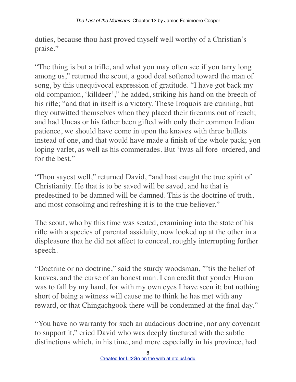duties, because thou hast proved thyself well worthy of a Christian's praise."

"The thing is but a trifle, and what you may often see if you tarry long among us," returned the scout, a good deal softened toward the man of song, by this unequivocal expression of gratitude. "I have got back my old companion, 'killdeer'," he added, striking his hand on the breech of his rifle; "and that in itself is a victory. These Iroquois are cunning, but they outwitted themselves when they placed their firearms out of reach; and had Uncas or his father been gifted with only their common Indian patience, we should have come in upon the knaves with three bullets instead of one, and that would have made a finish of the whole pack; yon loping varlet, as well as his commerades. But 'twas all fore–ordered, and for the best."

"Thou sayest well," returned David, "and hast caught the true spirit of Christianity. He that is to be saved will be saved, and he that is predestined to be damned will be damned. This is the doctrine of truth, and most consoling and refreshing it is to the true believer."

The scout, who by this time was seated, examining into the state of his rifle with a species of parental assiduity, now looked up at the other in a displeasure that he did not affect to conceal, roughly interrupting further speech.

"Doctrine or no doctrine," said the sturdy woodsman, "'tis the belief of knaves, and the curse of an honest man. I can credit that yonder Huron was to fall by my hand, for with my own eyes I have seen it; but nothing short of being a witness will cause me to think he has met with any reward, or that Chingachgook there will be condemned at the final day."

"You have no warranty for such an audacious doctrine, nor any covenant to support it," cried David who was deeply tinctured with the subtle distinctions which, in his time, and more especially in his province, had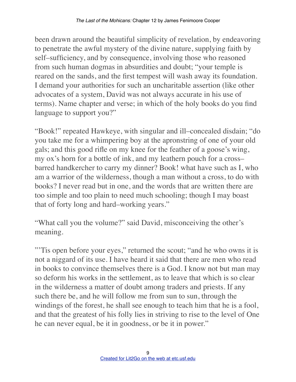been drawn around the beautiful simplicity of revelation, by endeavoring to penetrate the awful mystery of the divine nature, supplying faith by self–sufficiency, and by consequence, involving those who reasoned from such human dogmas in absurdities and doubt; "your temple is reared on the sands, and the first tempest will wash away its foundation. I demand your authorities for such an uncharitable assertion (like other advocates of a system, David was not always accurate in his use of terms). Name chapter and verse; in which of the holy books do you find language to support you?"

"Book!" repeated Hawkeye, with singular and ill–concealed disdain; "do you take me for a whimpering boy at the apronstring of one of your old gals; and this good rifle on my knee for the feather of a goose's wing, my ox's horn for a bottle of ink, and my leathern pouch for a cross– barred handkercher to carry my dinner? Book! what have such as I, who am a warrior of the wilderness, though a man without a cross, to do with books? I never read but in one, and the words that are written there are too simple and too plain to need much schooling; though I may boast that of forty long and hard–working years."

"What call you the volume?" said David, misconceiving the other's meaning.

"'Tis open before your eyes," returned the scout; "and he who owns it is not a niggard of its use. I have heard it said that there are men who read in books to convince themselves there is a God. I know not but man may so deform his works in the settlement, as to leave that which is so clear in the wilderness a matter of doubt among traders and priests. If any such there be, and he will follow me from sun to sun, through the windings of the forest, he shall see enough to teach him that he is a fool, and that the greatest of his folly lies in striving to rise to the level of One he can never equal, be it in goodness, or be it in power."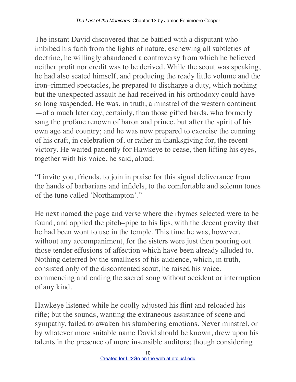The instant David discovered that he battled with a disputant who imbibed his faith from the lights of nature, eschewing all subtleties of doctrine, he willingly abandoned a controversy from which he believed neither profit nor credit was to be derived. While the scout was speaking, he had also seated himself, and producing the ready little volume and the iron–rimmed spectacles, he prepared to discharge a duty, which nothing but the unexpected assault he had received in his orthodoxy could have so long suspended. He was, in truth, a minstrel of the western continent —of a much later day, certainly, than those gifted bards, who formerly sang the profane renown of baron and prince, but after the spirit of his own age and country; and he was now prepared to exercise the cunning of his craft, in celebration of, or rather in thanksgiving for, the recent victory. He waited patiently for Hawkeye to cease, then lifting his eyes, together with his voice, he said, aloud:

"I invite you, friends, to join in praise for this signal deliverance from the hands of barbarians and infidels, to the comfortable and solemn tones of the tune called 'Northampton'."

He next named the page and verse where the rhymes selected were to be found, and applied the pitch–pipe to his lips, with the decent gravity that he had been wont to use in the temple. This time he was, however, without any accompaniment, for the sisters were just then pouring out those tender effusions of affection which have been already alluded to. Nothing deterred by the smallness of his audience, which, in truth, consisted only of the discontented scout, he raised his voice, commencing and ending the sacred song without accident or interruption of any kind.

Hawkeye listened while he coolly adjusted his flint and reloaded his rifle; but the sounds, wanting the extraneous assistance of scene and sympathy, failed to awaken his slumbering emotions. Never minstrel, or by whatever more suitable name David should be known, drew upon his talents in the presence of more insensible auditors; though considering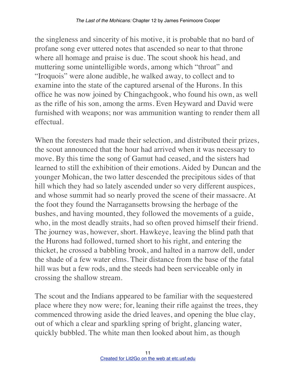the singleness and sincerity of his motive, it is probable that no bard of profane song ever uttered notes that ascended so near to that throne where all homage and praise is due. The scout shook his head, and muttering some unintelligible words, among which "throat" and "Iroquois" were alone audible, he walked away, to collect and to examine into the state of the captured arsenal of the Hurons. In this office he was now joined by Chingachgook, who found his own, as well as the rifle of his son, among the arms. Even Heyward and David were furnished with weapons; nor was ammunition wanting to render them all effectual.

When the foresters had made their selection, and distributed their prizes, the scout announced that the hour had arrived when it was necessary to move. By this time the song of Gamut had ceased, and the sisters had learned to still the exhibition of their emotions. Aided by Duncan and the younger Mohican, the two latter descended the precipitous sides of that hill which they had so lately ascended under so very different auspices, and whose summit had so nearly proved the scene of their massacre. At the foot they found the Narragansetts browsing the herbage of the bushes, and having mounted, they followed the movements of a guide, who, in the most deadly straits, had so often proved himself their friend. The journey was, however, short. Hawkeye, leaving the blind path that the Hurons had followed, turned short to his right, and entering the thicket, he crossed a babbling brook, and halted in a narrow dell, under the shade of a few water elms. Their distance from the base of the fatal hill was but a few rods, and the steeds had been serviceable only in crossing the shallow stream.

The scout and the Indians appeared to be familiar with the sequestered place where they now were; for, leaning their rifle against the trees, they commenced throwing aside the dried leaves, and opening the blue clay, out of which a clear and sparkling spring of bright, glancing water, quickly bubbled. The white man then looked about him, as though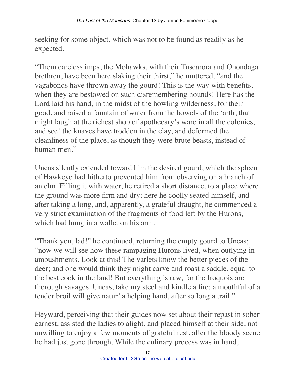seeking for some object, which was not to be found as readily as he expected.

"Them careless imps, the Mohawks, with their Tuscarora and Onondaga brethren, have been here slaking their thirst," he muttered, "and the vagabonds have thrown away the gourd! This is the way with benefits, when they are bestowed on such disremembering hounds! Here has the Lord laid his hand, in the midst of the howling wilderness, for their good, and raised a fountain of water from the bowels of the 'arth, that might laugh at the richest shop of apothecary's ware in all the colonies; and see! the knaves have trodden in the clay, and deformed the cleanliness of the place, as though they were brute beasts, instead of human men."

Uncas silently extended toward him the desired gourd, which the spleen of Hawkeye had hitherto prevented him from observing on a branch of an elm. Filling it with water, he retired a short distance, to a place where the ground was more firm and dry; here he coolly seated himself, and after taking a long, and, apparently, a grateful draught, he commenced a very strict examination of the fragments of food left by the Hurons, which had hung in a wallet on his arm.

"Thank you, lad!" he continued, returning the empty gourd to Uncas; "now we will see how these rampaging Hurons lived, when outlying in ambushments. Look at this! The varlets know the better pieces of the deer; and one would think they might carve and roast a saddle, equal to the best cook in the land! But everything is raw, for the Iroquois are thorough savages. Uncas, take my steel and kindle a fire; a mouthful of a tender broil will give natur' a helping hand, after so long a trail."

Heyward, perceiving that their guides now set about their repast in sober earnest, assisted the ladies to alight, and placed himself at their side, not unwilling to enjoy a few moments of grateful rest, after the bloody scene he had just gone through. While the culinary process was in hand,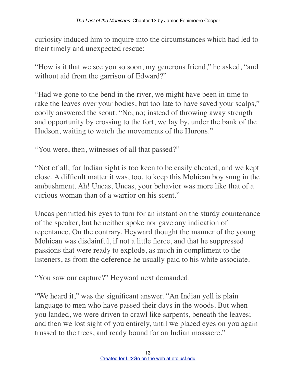curiosity induced him to inquire into the circumstances which had led to their timely and unexpected rescue:

"How is it that we see you so soon, my generous friend," he asked, "and without aid from the garrison of Edward?"

"Had we gone to the bend in the river, we might have been in time to rake the leaves over your bodies, but too late to have saved your scalps," coolly answered the scout. "No, no; instead of throwing away strength and opportunity by crossing to the fort, we lay by, under the bank of the Hudson, waiting to watch the movements of the Hurons."

"You were, then, witnesses of all that passed?"

"Not of all; for Indian sight is too keen to be easily cheated, and we kept close. A difficult matter it was, too, to keep this Mohican boy snug in the ambushment. Ah! Uncas, Uncas, your behavior was more like that of a curious woman than of a warrior on his scent."

Uncas permitted his eyes to turn for an instant on the sturdy countenance of the speaker, but he neither spoke nor gave any indication of repentance. On the contrary, Heyward thought the manner of the young Mohican was disdainful, if not a little fierce, and that he suppressed passions that were ready to explode, as much in compliment to the listeners, as from the deference he usually paid to his white associate.

"You saw our capture?" Heyward next demanded.

"We heard it," was the significant answer. "An Indian yell is plain language to men who have passed their days in the woods. But when you landed, we were driven to crawl like sarpents, beneath the leaves; and then we lost sight of you entirely, until we placed eyes on you again trussed to the trees, and ready bound for an Indian massacre."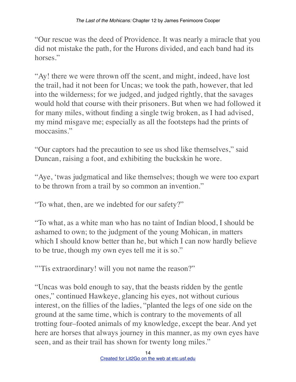"Our rescue was the deed of Providence. It was nearly a miracle that you did not mistake the path, for the Hurons divided, and each band had its horses."

"Ay! there we were thrown off the scent, and might, indeed, have lost the trail, had it not been for Uncas; we took the path, however, that led into the wilderness; for we judged, and judged rightly, that the savages would hold that course with their prisoners. But when we had followed it for many miles, without finding a single twig broken, as I had advised, my mind misgave me; especially as all the footsteps had the prints of moccasins"

"Our captors had the precaution to see us shod like themselves," said Duncan, raising a foot, and exhibiting the buckskin he wore.

"Aye, 'twas judgmatical and like themselves; though we were too expart to be thrown from a trail by so common an invention."

"To what, then, are we indebted for our safety?"

"To what, as a white man who has no taint of Indian blood, I should be ashamed to own; to the judgment of the young Mohican, in matters which I should know better than he, but which I can now hardly believe to be true, though my own eyes tell me it is so."

"'Tis extraordinary! will you not name the reason?"

"Uncas was bold enough to say, that the beasts ridden by the gentle ones," continued Hawkeye, glancing his eyes, not without curious interest, on the fillies of the ladies, "planted the legs of one side on the ground at the same time, which is contrary to the movements of all trotting four–footed animals of my knowledge, except the bear. And yet here are horses that always journey in this manner, as my own eyes have seen, and as their trail has shown for twenty long miles."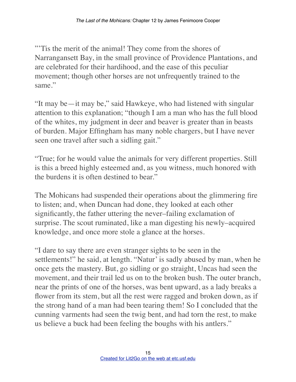"'Tis the merit of the animal! They come from the shores of Narrangansett Bay, in the small province of Providence Plantations, and are celebrated for their hardihood, and the ease of this peculiar movement; though other horses are not unfrequently trained to the same."

"It may be—it may be," said Hawkeye, who had listened with singular attention to this explanation; "though I am a man who has the full blood of the whites, my judgment in deer and beaver is greater than in beasts of burden. Major Effingham has many noble chargers, but I have never seen one travel after such a sidling gait."

"True; for he would value the animals for very different properties. Still is this a breed highly esteemed and, as you witness, much honored with the burdens it is often destined to bear."

The Mohicans had suspended their operations about the glimmering fire to listen; and, when Duncan had done, they looked at each other significantly, the father uttering the never–failing exclamation of surprise. The scout ruminated, like a man digesting his newly–acquired knowledge, and once more stole a glance at the horses.

"I dare to say there are even stranger sights to be seen in the settlements!" he said, at length. "Natur' is sadly abused by man, when he once gets the mastery. But, go sidling or go straight, Uncas had seen the movement, and their trail led us on to the broken bush. The outer branch, near the prints of one of the horses, was bent upward, as a lady breaks a flower from its stem, but all the rest were ragged and broken down, as if the strong hand of a man had been tearing them! So I concluded that the cunning varments had seen the twig bent, and had torn the rest, to make us believe a buck had been feeling the boughs with his antlers."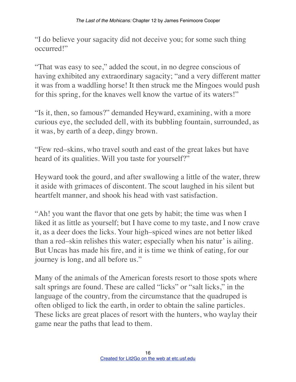"I do believe your sagacity did not deceive you; for some such thing occurred!"

"That was easy to see," added the scout, in no degree conscious of having exhibited any extraordinary sagacity; "and a very different matter it was from a waddling horse! It then struck me the Mingoes would push for this spring, for the knaves well know the vartue of its waters!"

"Is it, then, so famous?" demanded Heyward, examining, with a more curious eye, the secluded dell, with its bubbling fountain, surrounded, as it was, by earth of a deep, dingy brown.

"Few red–skins, who travel south and east of the great lakes but have heard of its qualities. Will you taste for yourself?"

Heyward took the gourd, and after swallowing a little of the water, threw it aside with grimaces of discontent. The scout laughed in his silent but heartfelt manner, and shook his head with vast satisfaction.

"Ah! you want the flavor that one gets by habit; the time was when I liked it as little as yourself; but I have come to my taste, and I now crave it, as a deer does the licks. Your high–spiced wines are not better liked than a red–skin relishes this water; especially when his natur' is ailing. But Uncas has made his fire, and it is time we think of eating, for our journey is long, and all before us."

Many of the animals of the American forests resort to those spots where salt springs are found. These are called "licks" or "salt licks," in the language of the country, from the circumstance that the quadruped is often obliged to lick the earth, in order to obtain the saline particles. These licks are great places of resort with the hunters, who waylay their game near the paths that lead to them.